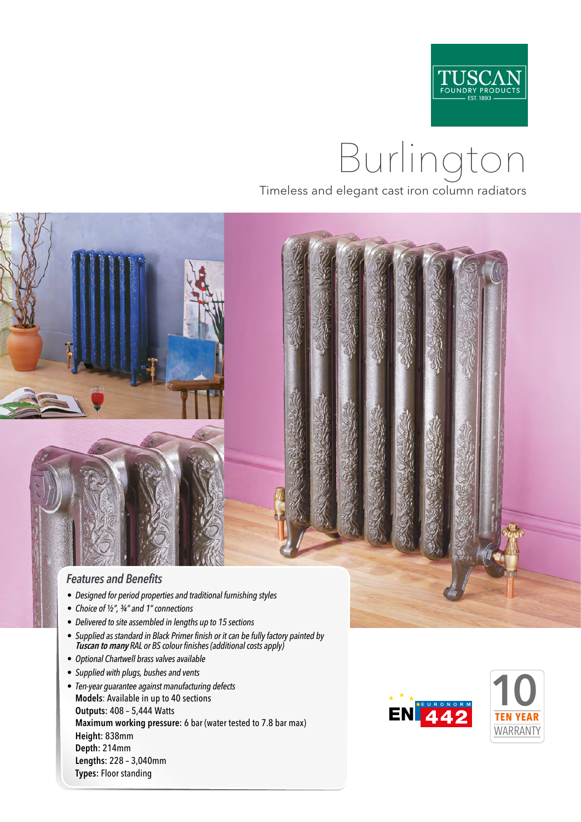

# Burlington

Timeless and elegant cast iron column radiators



- *Delivered to site assembled in lengths up to 15 sections*
- *Supplied as standard in Black Primer finish or it can be fully factory painted by* Tuscan to many *RAL or BS colour finishes (additional costs apply)*
- *Optional Chartwell brass valves available*
- *Supplied with plugs, bushes and vents*
- *Ten-year guarantee against manufacturing defects* Models: Available in up to 40 sections Outputs: 408 – 5,444 Watts Maximum working pressure: 6 bar (water tested to 7.8 bar max) Height: 838mm Depth: 214mm Lengths: 228 – 3,040mm Types: Floor standing

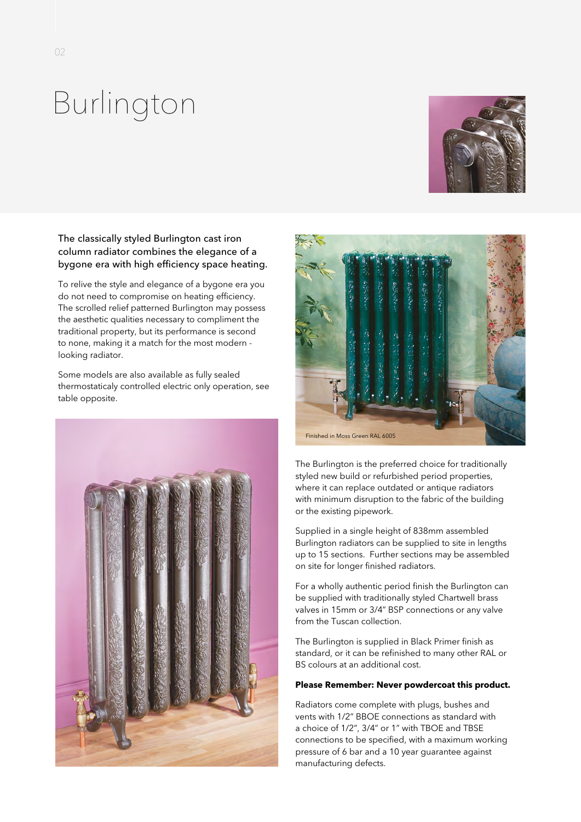## Burlington



The classically styled Burlington cast iron column radiator combines the elegance of a bygone era with high efficiency space heating.

To relive the style and elegance of a bygone era you do not need to compromise on heating efficiency. The scrolled relief patterned Burlington may possess the aesthetic qualities necessary to compliment the traditional property, but its performance is second to none, making it a match for the most modern looking radiator.

Some models are also available as fully sealed thermostaticaly controlled electric only operation, see table opposite.





The Burlington is the preferred choice for traditionally styled new build or refurbished period properties, where it can replace outdated or antique radiators with minimum disruption to the fabric of the building or the existing pipework.

Supplied in a single height of 838mm assembled Burlington radiators can be supplied to site in lengths up to 15 sections. Further sections may be assembled on site for longer finished radiators.

For a wholly authentic period finish the Burlington can be supplied with traditionally styled Chartwell brass valves in 15mm or 3/4" BSP connections or any valve from the Tuscan collection.

The Burlington is supplied in Black Primer finish as standard, or it can be refinished to many other RAL or BS colours at an additional cost.

#### **Please Remember: Never powdercoat this product.**

Radiators come complete with plugs, bushes and vents with 1/2" BBOE connections as standard with a choice of 1/2", 3/4" or 1" with TBOE and TBSE connections to be specified, with a maximum working pressure of 6 bar and a 10 year guarantee against manufacturing defects.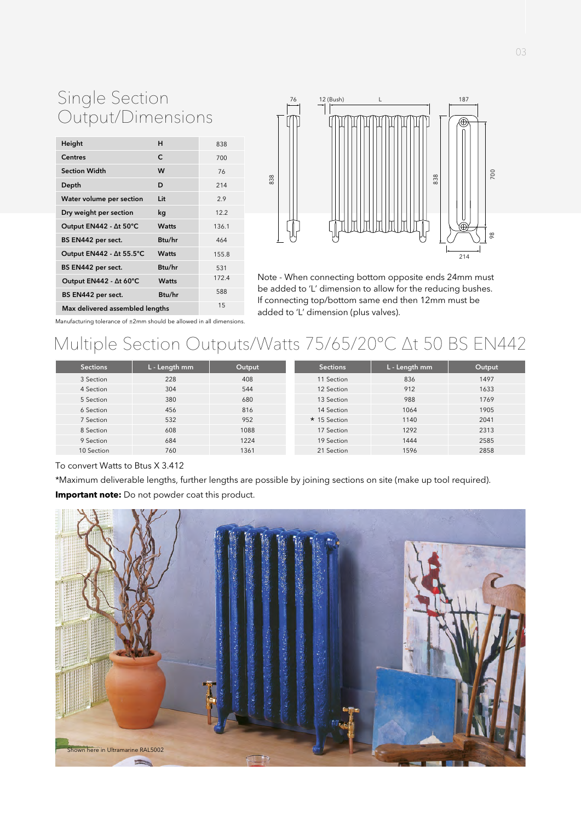### Single Section Output/Dimensions

| Height                          | н            | 838   |
|---------------------------------|--------------|-------|
| Centres                         | C            | 700   |
| <b>Section Width</b>            | W            | 76    |
| Depth                           | D            | 214   |
| Water volume per section        | Lit          | 2.9   |
| Dry weight per section          | kq           | 12.2  |
| Output EN442 - At 50°C          | Watts        | 136.1 |
| BS EN442 per sect.              | Btu/hr       | 464   |
| Output EN442 - At 55.5°C        | Watts        | 155.8 |
| BS EN442 per sect.              | Btu/hr       | 531   |
| Output EN442 - At 60°C          | <b>Watts</b> | 172.4 |
| BS EN442 per sect.              | Btu/hr       | 588   |
| Max delivered assembled lengths | 1.5          |       |



Note - When connecting bottom opposite ends 24mm must be added to 'L' dimension to allow for the reducing bushes. If connecting top/bottom same end then 12mm must be added to 'L' dimension (plus valves).

Manufacturing tolerance of ±2mm should be allowed in all dimensions.

### Multiple Section Outputs/Watts 75/65/20°C ∆t 50 BS EN442

| <b>Sections</b> | L - Length mm | Output | <b>Sections</b> | L - Length mm | Output |
|-----------------|---------------|--------|-----------------|---------------|--------|
| 3 Section       | 228           | 408    | 11 Section      | 836           | 1497   |
| 4 Section       | 304           | 544    | 12 Section      | 912           | 1633   |
| 5 Section       | 380           | 680    | 13 Section      | 988           | 1769   |
| 6 Section       | 456           | 816    | 14 Section      | 1064          | 1905   |
| 7 Section       | 532           | 952    | * 15 Section    | 1140          | 2041   |
| 8 Section       | 608           | 1088   | 17 Section      | 1292          | 2313   |
| 9 Section       | 684           | 1224   | 19 Section      | 1444          | 2585   |
| 10 Section      | 760           | 1361   | 21 Section      | 1596          | 2858   |

### To convert Watts to Btus X 3.412

\*Maximum deliverable lengths, further lengths are possible by joining sections on site (make up tool required). **Important note:** Do not powder coat this product.